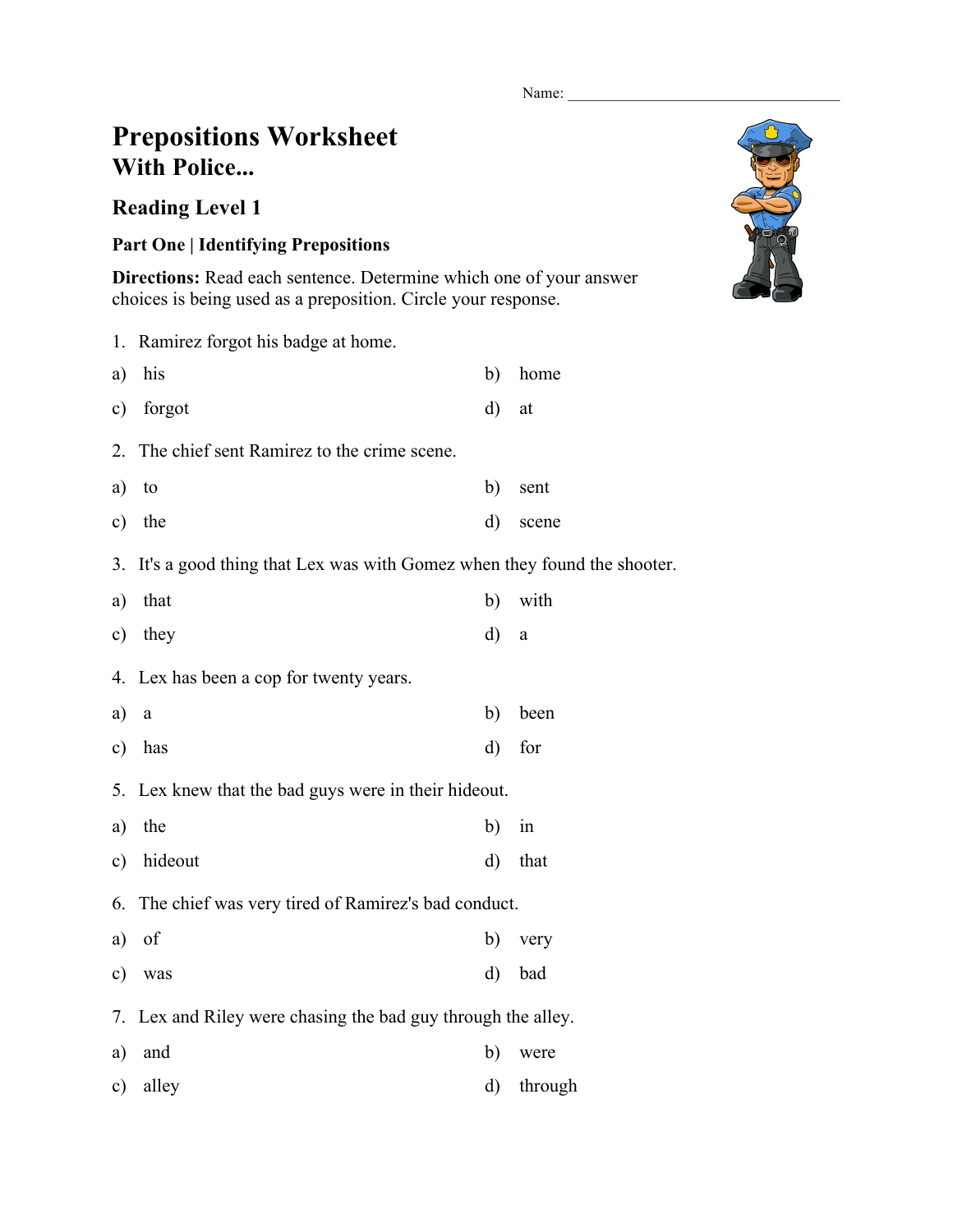Name:

## **Prepositions Worksheet With Police...**

## **Reading Level 1**

## **Part One | Identifying Prepositions**

**Directions:** Read each sentence. Determine which one of your answer choices is being used as a preposition. Circle your response.

|               | 1. Ramirez forgot his badge at home.                                   |    |          |  |  |  |
|---------------|------------------------------------------------------------------------|----|----------|--|--|--|
| a)            | his                                                                    | b) | home     |  |  |  |
| $\circ$ )     | forgot                                                                 | d) | at       |  |  |  |
| 2.            | The chief sent Ramirez to the crime scene.                             |    |          |  |  |  |
| a)            | to                                                                     | b) | sent     |  |  |  |
| $\circ$ )     | the                                                                    | d) | scene    |  |  |  |
| 3.            | It's a good thing that Lex was with Gomez when they found the shooter. |    |          |  |  |  |
| a)            | that                                                                   | b) | with     |  |  |  |
| c)            | they                                                                   | d) | $\rm{a}$ |  |  |  |
|               | 4. Lex has been a cop for twenty years.                                |    |          |  |  |  |
| a)            | $\rm{a}$                                                               | b) | been     |  |  |  |
| $\mathbf{c})$ | has                                                                    | d) | for      |  |  |  |
|               | 5. Lex knew that the bad guys were in their hideout.                   |    |          |  |  |  |
| a)            | the                                                                    | b) | in       |  |  |  |
| c)            | hideout                                                                | d) | that     |  |  |  |
| 6.            | The chief was very tired of Ramirez's bad conduct.                     |    |          |  |  |  |
| a)            | of                                                                     | b) | very     |  |  |  |
| $\circ$ )     | was                                                                    | d) | bad      |  |  |  |
| 7.            | Lex and Riley were chasing the bad guy through the alley.              |    |          |  |  |  |
| a)            | and                                                                    | b) | were     |  |  |  |
| $\mathbf{c})$ | alley                                                                  | d) | through  |  |  |  |

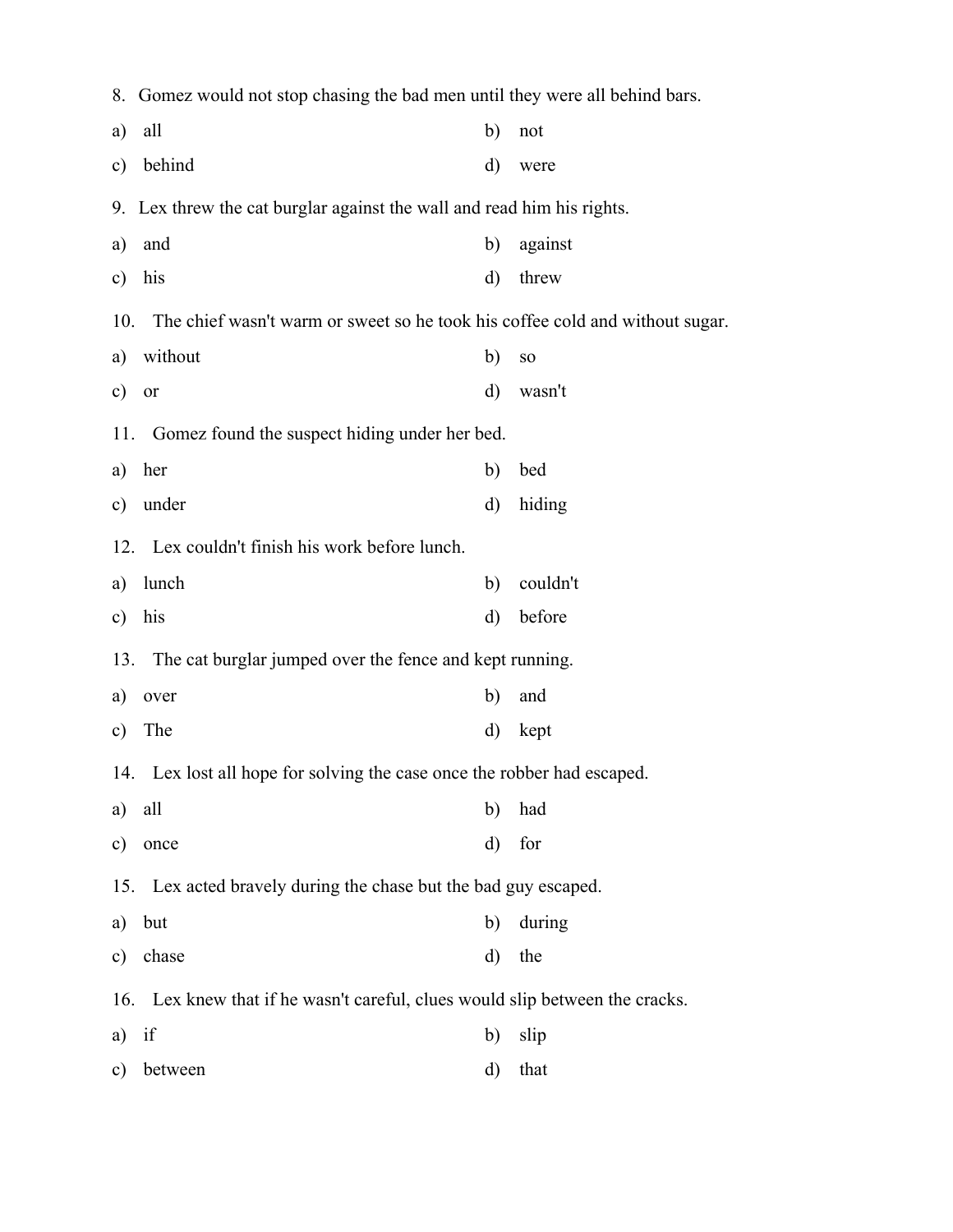|                                                      | 8. Gomez would not stop chasing the bad men until they were all behind bars. |    |                 |  |  |  |  |  |  |
|------------------------------------------------------|------------------------------------------------------------------------------|----|-----------------|--|--|--|--|--|--|
| a)                                                   | all                                                                          | b) | not             |  |  |  |  |  |  |
| c)                                                   | behind                                                                       | d) | were            |  |  |  |  |  |  |
|                                                      | 9. Lex threw the cat burglar against the wall and read him his rights.       |    |                 |  |  |  |  |  |  |
| a)                                                   | and                                                                          | b) | against         |  |  |  |  |  |  |
| $\mathbf{c})$                                        | his                                                                          | d) | threw           |  |  |  |  |  |  |
| 10.                                                  | The chief wasn't warm or sweet so he took his coffee cold and without sugar. |    |                 |  |  |  |  |  |  |
| a)                                                   | without                                                                      | b) | SO <sub>1</sub> |  |  |  |  |  |  |
| c)                                                   | or                                                                           | d) | wasn't          |  |  |  |  |  |  |
| Gomez found the suspect hiding under her bed.<br>11. |                                                                              |    |                 |  |  |  |  |  |  |
| a)                                                   | her                                                                          | b) | bed             |  |  |  |  |  |  |
| $\mathbf{c})$                                        | under                                                                        | d) | hiding          |  |  |  |  |  |  |
|                                                      | 12. Lex couldn't finish his work before lunch.                               |    |                 |  |  |  |  |  |  |
| a)                                                   | lunch                                                                        | b) | couldn't        |  |  |  |  |  |  |
| $\mathbf{c})$                                        | his                                                                          | d) | before          |  |  |  |  |  |  |
|                                                      | 13. The cat burglar jumped over the fence and kept running.                  |    |                 |  |  |  |  |  |  |
| a)                                                   | over                                                                         | b) | and             |  |  |  |  |  |  |
| c)                                                   | The                                                                          | d) | kept            |  |  |  |  |  |  |
|                                                      | 14. Lex lost all hope for solving the case once the robber had escaped.      |    |                 |  |  |  |  |  |  |
| a)                                                   | all                                                                          | b) | had             |  |  |  |  |  |  |
| $\mathbf{c})$                                        | once                                                                         | d) | for             |  |  |  |  |  |  |
|                                                      | Lex acted bravely during the chase but the bad guy escaped.<br>15.           |    |                 |  |  |  |  |  |  |
| a)                                                   | but                                                                          | b) | during          |  |  |  |  |  |  |
| c)                                                   | chase                                                                        | d) | the             |  |  |  |  |  |  |
| 16.                                                  | Lex knew that if he wasn't careful, clues would slip between the cracks.     |    |                 |  |  |  |  |  |  |
| a)                                                   | if                                                                           | b) | slip            |  |  |  |  |  |  |
| c)                                                   | between                                                                      | d) | that            |  |  |  |  |  |  |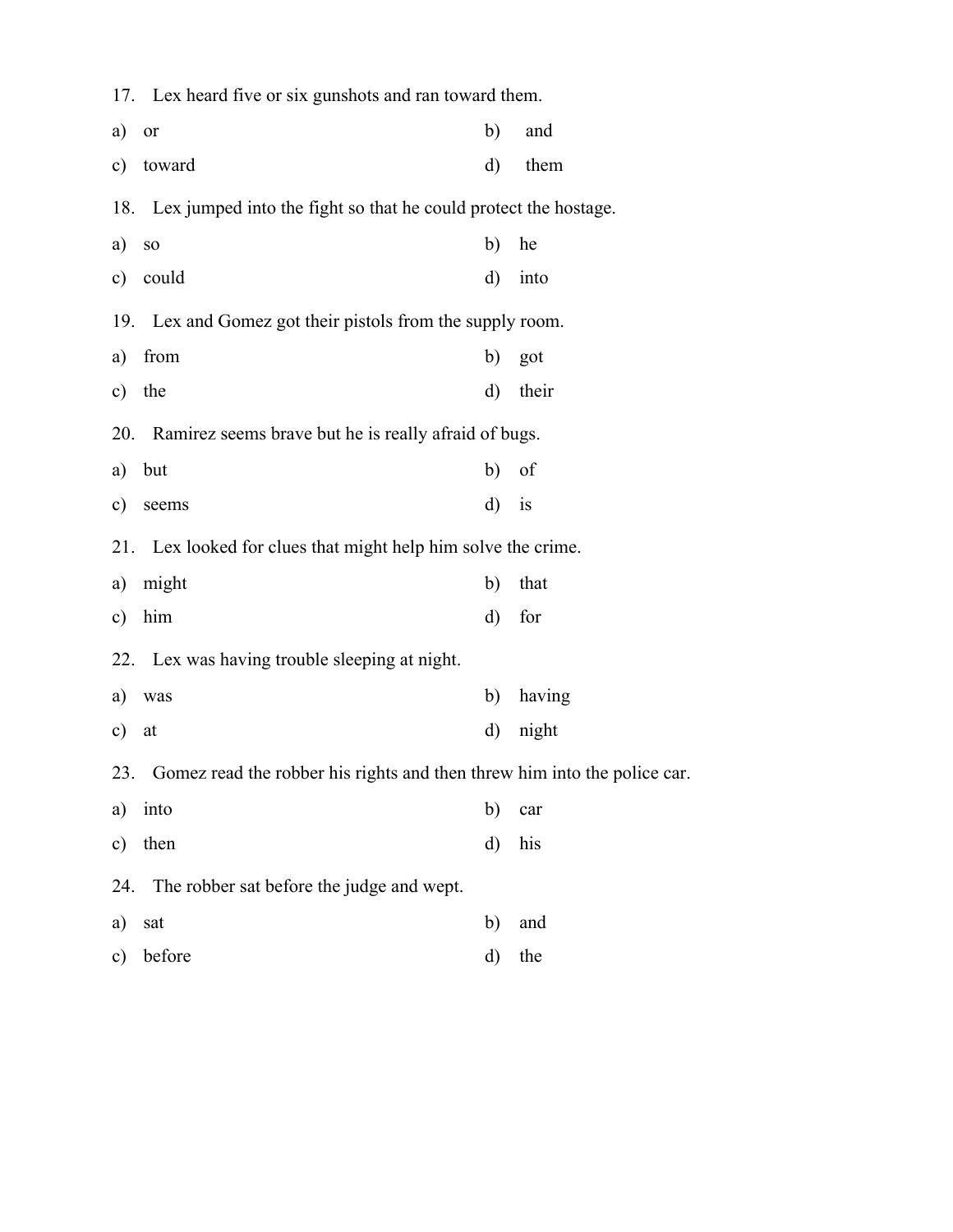17. Lex heard five or six gunshots and ran toward them. a) or b) and c) toward d) them 18. Lex jumped into the fight so that he could protect the hostage. a) so b) he c) could d) into 19. Lex and Gomez got their pistols from the supply room. a) from b) got c) the d) their 20. Ramirez seems brave but he is really afraid of bugs. a) but b) of c) seems d) is 21. Lex looked for clues that might help him solve the crime. a) might b) that c) him d) for 22. Lex was having trouble sleeping at night. a) was b) having c) at d) night 23. Gomez read the robber his rights and then threw him into the police car. a) into b) car c) then d) his 24. The robber sat before the judge and wept. a) sat b) and c) before d) the